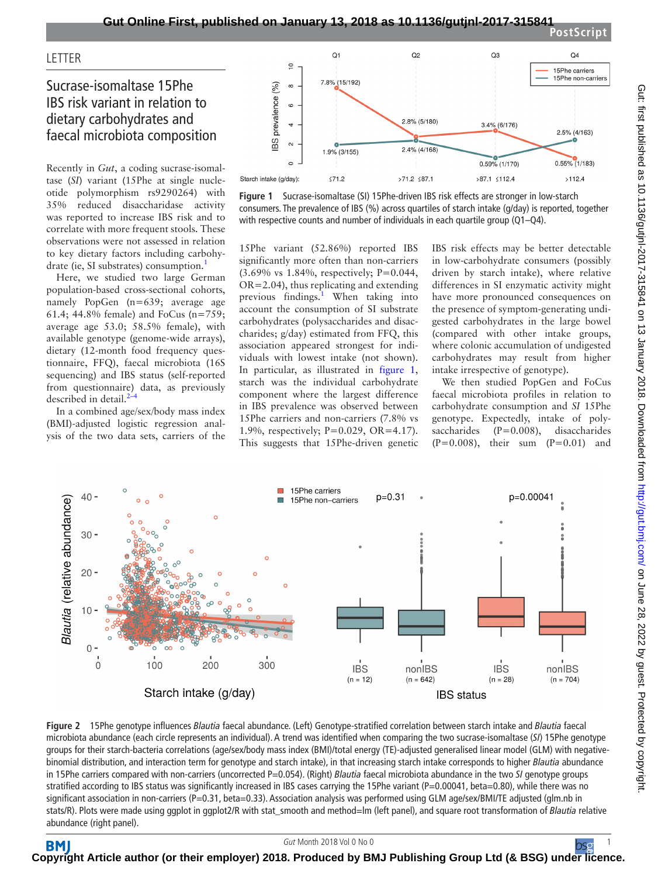**LETTER** 

## Sucrase-isomaltase 15Phe IBS risk variant in relation to dietary carbohydrates and faecal microbiota composition

Recently in *Gut*, a coding sucrase-isomaltase (*SI*) variant (15Phe at single nucleotide polymorphism rs9290264) with 35% reduced disaccharidase activity was reported to increase IBS risk and to correlate with more frequent stools. These observations were not assessed in relation to key dietary factors including carbohy-drate (ie, SI substrates) consumption.<sup>[1](#page-1-0)</sup>

Here, we studied two large German population-based cross-sectional cohorts, namely PopGen (n=639; average age 61.4; 44.8% female) and FoCus (n=759; average age 53.0; 58.5% female), with available genotype (genome-wide arrays), dietary (12-month food frequency questionnaire, FFQ), faecal microbiota (16S sequencing) and IBS status (self-reported from questionnaire) data, as previously described in detail. $^{2}$ 

In a combined age/sex/body mass index (BMI)-adjusted logistic regression analysis of the two data sets, carriers of the



<span id="page-0-0"></span>

15Phe variant (52.86%) reported IBS significantly more often than non-carriers (3.69% vs 1.84%, respectively; P=0.044, OR=2.04), thus replicating and extending previous findings.<sup>[1](#page-1-0)</sup> When taking into account the consumption of SI substrate carbohydrates (polysaccharides and disaccharides; g/day) estimated from FFQ, this association appeared strongest for individuals with lowest intake (not shown). In particular, as illustrated in [figure](#page-0-0) 1, starch was the individual carbohydrate component where the largest difference in IBS prevalence was observed between 15Phe carriers and non-carriers (7.8% vs 1.9%, respectively; P=0.029, OR=4.17). This suggests that 15Phe-driven genetic

IBS risk effects may be better detectable in low-carbohydrate consumers (possibly driven by starch intake), where relative differences in SI enzymatic activity might have more pronounced consequences on the presence of symptom-generating undigested carbohydrates in the large bowel (compared with other intake groups, where colonic accumulation of undigested carbohydrates may result from higher intake irrespective of genotype).

We then studied PopGen and FoCus faecal microbiota profiles in relation to carbohydrate consumption and *SI* 15Phe genotype. Expectedly, intake of polysaccharides (P=0.008), disaccharides  $(P=0.008)$ , their sum  $(P=0.01)$  and



<span id="page-0-1"></span>**Figure 2** 15Phe genotype influences *Blautia* faecal abundance. (Left) Genotype-stratified correlation between starch intake and *Blautia* faecal microbiota abundance (each circle represents an individual). A trend was identified when comparing the two sucrase-isomaltase (*SI*) 15Phe genotype groups for their starch-bacteria correlations (age/sex/body mass index (BMI)/total energy (TE)-adjusted generalised linear model (GLM) with negativebinomial distribution, and interaction term for genotype and starch intake), in that increasing starch intake corresponds to higher *Blautia* abundance in 15Phe carriers compared with non-carriers (uncorrected P=0.054). (Right) *Blautia* faecal microbiota abundance in the two *SI* genotype groups stratified according to IBS status was significantly increased in IBS cases carrying the 15Phe variant (P=0.00041, beta=0.80), while there was no significant association in non-carriers (P=0.31, beta=0.33). Association analysis was performed using GLM age/sex/BMI/TE adjusted (glm.nb in stats/R). Plots were made using ggplot in ggplot2/R with stat\_smooth and method=lm (left panel), and square root transformation of *Blautia* relative abundance (right panel).